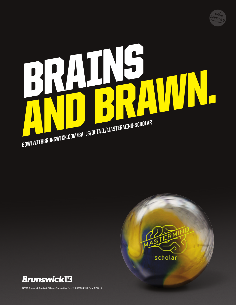

# BRAINS, POWIWITHBRUNSWICK.COM/BALLS/DETAIL/MASTERMIND-SCHOLAR  **BOWLWITHBRUNSWICK.COM/BALLS/DETAIL/MASTERMIND-SCHOLAR**





**©2015 Brunswick Bowling & Billiards Corporation. Item #10-095300-193. Form #1214-15.**